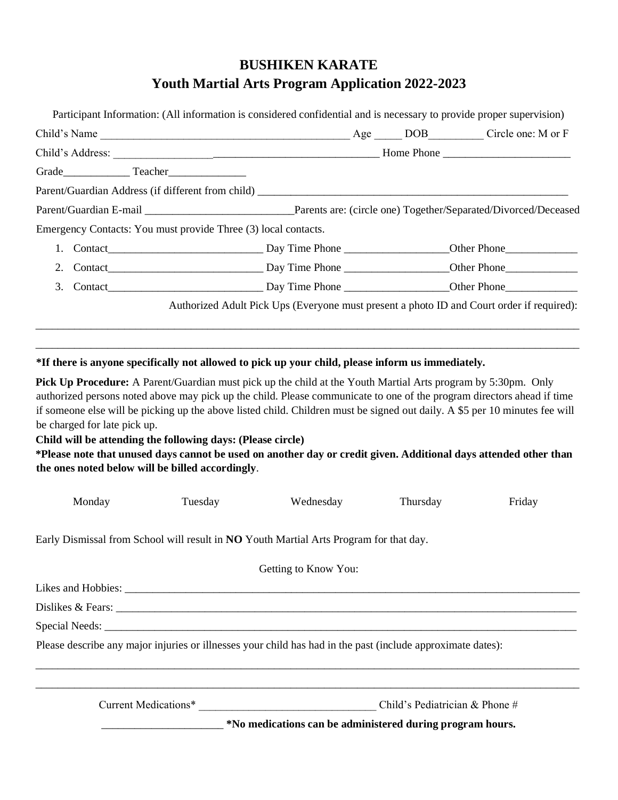# **BUSHIKEN KARATE Youth Martial Arts Program Application 2022-2023**

| Emergency Contacts: You must provide Three (3) local contacts. |                                                                                           |  |  |
|----------------------------------------------------------------|-------------------------------------------------------------------------------------------|--|--|
|                                                                |                                                                                           |  |  |
|                                                                |                                                                                           |  |  |
|                                                                |                                                                                           |  |  |
|                                                                | Authorized Adult Pick Ups (Everyone must present a photo ID and Court order if required): |  |  |
|                                                                |                                                                                           |  |  |

### **\*If there is anyone specifically not allowed to pick up your child, please inform us immediately.**

**Pick Up Procedure:** A Parent/Guardian must pick up the child at the Youth Martial Arts program by 5:30pm. Only authorized persons noted above may pick up the child. Please communicate to one of the program directors ahead if time if someone else will be picking up the above listed child. Children must be signed out daily. A \$5 per 10 minutes fee will be charged for late pick up.

**Child will be attending the following days: (Please circle)** 

**\*Please note that unused days cannot be used on another day or credit given. Additional days attended other than the ones noted below will be billed accordingly**.

| Monday | Tuesday | Wednesday                                                                                                   | Thursday                       | Friday |
|--------|---------|-------------------------------------------------------------------------------------------------------------|--------------------------------|--------|
|        |         | Early Dismissal from School will result in NO Youth Martial Arts Program for that day.                      |                                |        |
|        |         | Getting to Know You:                                                                                        |                                |        |
|        |         |                                                                                                             |                                |        |
|        |         | Dislikes & Fears: $\overline{\phantom{a}}$                                                                  |                                |        |
|        |         |                                                                                                             |                                |        |
|        |         | Please describe any major injuries or illnesses your child has had in the past (include approximate dates): |                                |        |
|        |         |                                                                                                             | Child's Pediatrician & Phone # |        |
|        |         | *No medications can be administered during program hours.                                                   |                                |        |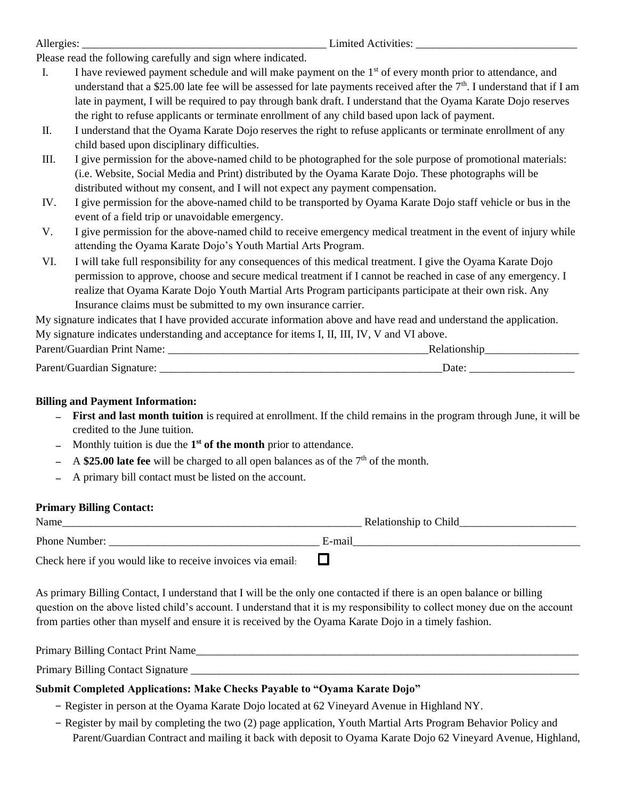| Allergies: |  |
|------------|--|
|            |  |

Limited Activities:

Please read the following carefully and sign where indicated.

- I. I have reviewed payment schedule and will make payment on the  $1<sup>st</sup>$  of every month prior to attendance, and understand that a \$25.00 late fee will be assessed for late payments received after the  $7<sup>th</sup>$ . I understand that if I am late in payment, I will be required to pay through bank draft. I understand that the Oyama Karate Dojo reserves the right to refuse applicants or terminate enrollment of any child based upon lack of payment.
- II. I understand that the Oyama Karate Dojo reserves the right to refuse applicants or terminate enrollment of any child based upon disciplinary difficulties.
- III. I give permission for the above-named child to be photographed for the sole purpose of promotional materials: (i.e. Website, Social Media and Print) distributed by the Oyama Karate Dojo. These photographs will be distributed without my consent, and I will not expect any payment compensation.
- IV. I give permission for the above-named child to be transported by Oyama Karate Dojo staff vehicle or bus in the event of a field trip or unavoidable emergency.
- V. I give permission for the above-named child to receive emergency medical treatment in the event of injury while attending the Oyama Karate Dojo's Youth Martial Arts Program.
- VI. I will take full responsibility for any consequences of this medical treatment. I give the Oyama Karate Dojo permission to approve, choose and secure medical treatment if I cannot be reached in case of any emergency. I realize that Oyama Karate Dojo Youth Martial Arts Program participants participate at their own risk. Any Insurance claims must be submitted to my own insurance carrier.

My signature indicates that I have provided accurate information above and have read and understand the application. My signature indicates understanding and acceptance for items I, II, III, IV, V and VI above.

| Parent/Guardian Print Name: |      |  |
|-----------------------------|------|--|
| Parent/Guardian Signature:  | Date |  |

## **Billing and Payment Information:**

- − **First and last month tuition** is required at enrollment. If the child remains in the program through June, it will be credited to the June tuition.
- − Monthly tuition is due the **1 st of the month** prior to attendance.
- − A **\$25.00 late fee** will be charged to all open balances as of the 7<sup>th</sup> of the month.
- − A primary bill contact must be listed on the account.

## **Primary Billing Contact:**

| Name                                                        | Relationship to Child |
|-------------------------------------------------------------|-----------------------|
| <b>Phone Number:</b>                                        | E-mail                |
| Check here if you would like to receive invoices via email. |                       |

As primary Billing Contact, I understand that I will be the only one contacted if there is an open balance or billing question on the above listed child's account. I understand that it is my responsibility to collect money due on the account from parties other than myself and ensure it is received by the Oyama Karate Dojo in a timely fashion.

Primary Billing Contact Print Name

Primary Billing Contact Signature \_\_\_\_\_\_\_\_\_\_\_\_\_\_\_\_\_\_\_\_\_\_\_\_\_\_\_\_\_\_\_\_\_\_\_\_\_\_\_\_\_\_\_\_\_\_\_\_\_\_\_\_\_\_\_\_\_\_\_\_\_\_\_\_\_\_\_\_\_\_

## **Submit Completed Applications: Make Checks Payable to "Oyama Karate Dojo"**

- − Register in person at the Oyama Karate Dojo located at 62 Vineyard Avenue in Highland NY.
- − Register by mail by completing the two (2) page application, Youth Martial Arts Program Behavior Policy and Parent/Guardian Contract and mailing it back with deposit to Oyama Karate Dojo 62 Vineyard Avenue, Highland,